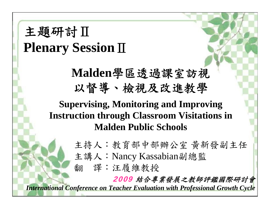# 主題研討Ⅱ **Plenary Session** Ⅱ

# **Malden**學區透過課室訪視 以督導、檢視及改進教學 **Supervising, Monitoring and Improving**

# **Instruction through Classroom Visitations in Malden Public Schools**

- 主持人:教育部中部辦公室 黃新發副主任
- 主講人:Nancy Kassabian副總監
- 翻 譯:汪履維教授

2009 結合專業發展之教師評鑑國際研討會

*International Conference on Teacher Evaluation with Professional Growth Cycle*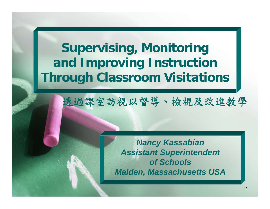# **Supervising, Monitoring and Improving Instruction Through Classroom Visitations**

透過課室訪視以督導、檢視及改進教學

*Nancy Kassabian Assistant Superintendent of SchoolsMalden, Massachusetts USA*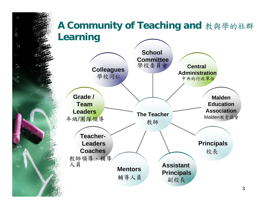## **A Community of Teaching and**  教與學的社群 **Learning**

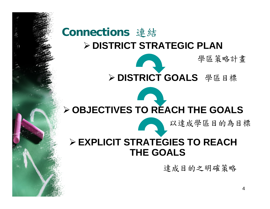# ¾ **DISTRICT STRATEGIC PLAN Connections** 連結

# ¾ **DISTRICT GOALS**  學區目標

# ¾ **OBJECTIVES TO REACH THE GOALS**

以達成學區目的為目標

學區策略計畫

### ¾ **EXPLICIT STRATEGIES TO REACH THE GOALS**

達成目的之明確策略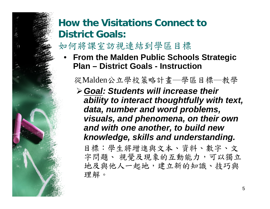# **How the Visitations Connect to District Goals:**

如何將課室訪視連結到學區目標

• **From the Malden Public Schools Strategic Plan – District Goals - Instruction** 

### 從Malden公立學校策略計畫─學區目標─教學

¾*Goal: Students will increase their ability to interact thoughtfully with text, data, number and word problems, visuals, and phenomena, on their own and with one another, to build new knowledge, skills and understanding.* 

目標:學生將增進與文本、資料、數字、文 字問題、視覺及現象的互動能力,可以獨立 地及與他人一起地,建立新的知識、技巧與 理解。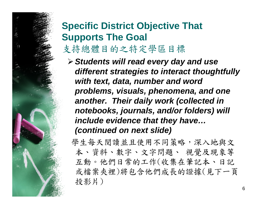## **Specific District Objective That Supports The Goal**  支持總體目的之特定學區目標

¾*Students will read every day and use different strategies to interact thoughtfully with text, data, number and word problems, visuals, phenomena, and one another. Their daily work (collected in notebooks, journals, and/or folders) will include evidence that they have… (continued on next slide)*

學生每天閱讀並且使用不同策略,深入地與文 本、資料、數字、文字問題、 視覺及現象等 互動。他們日常的工作(收集在筆記本、日記 或檔案夾裡)將包含他們成長的證據(見下一頁 投影片)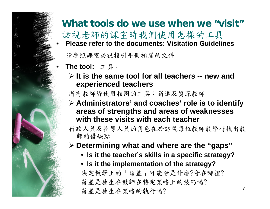## **What tools do we use when we "visit"**

訪視老師的課室時我們使用怎樣的工具

• **Please refer to the documents: Visitation Guidelines** 

請參照課室訪視指引手冊相關的文件

• **The tool:** 工具:

¾ **It is the same tool for all teachers -- new and experienced teachers**

所有教師皆使用相同的工具:新進及資深教師

¾ **Administrators' and coaches' role is to identify areas of strengths and areas of weaknesses with these visits with each teacher**

行政人員及指導人員的角色在於訪視每位教師教學時找出教 師的優缺點

#### ¾ **Determining what and where are the "gaps"**

- **Is it the teacher's skills in a specific strategy?**
- **Is it the implementation of the strategy?**  決定教學上的「落差」可能會是什麼?會在哪裡? 落差是發生在教師在特定策略上的技巧嗎?

落差是發生在策略的執行嗎?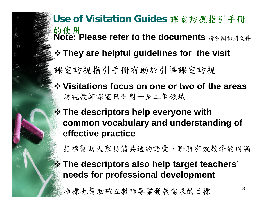**Use of Visitation Guides** 課室訪視指引手冊 **的使用**<br>Note: Please refer to the documents <sub>請參閱相關文件</sub>  $\cdot$  **They are helpful guidelines for the visit** 課室訪視指引手冊有助於引導課室訪視

- **Visitations focus on one or two of the areas** 訪視教師課室只針對一至二個領域
- $\cdot$  **The descriptors help everyone with common vocabulary and understanding of effective practice**

指標幫助大家具備共通的語彙、瞭解有效教學的內涵

**The descriptors also help target teachers' needs for professional development**

指標也幫助確立教師專業發展需求的目標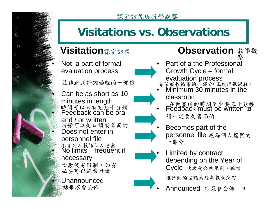# **Visitations vs. Observations**

### **Visitation**課室訪視

• Not a part of formal evaluation process

並非正式評鑑過程的一部份

• Can be as short as 10 minutes in length • Feedback can be oral and / or written<br>【回饋可以是口頭或書面的 Does not enter in personnel file  $\bullet$  No limits – frequent if necessary • Unannounced不會列入教師個人檔案 時間可以只有短短十分鐘 次數沒有限制,如有 必要可以經常性做

結果不會公佈

# **Observation** 教學觀

- Part of a the Professional Growth Cycle – formal evaluation process 察
- 專業成長循環的一部分(正式評鑑過程)
- Minimum 30 minutes in the classroom
- $\bullet$  Feedback must be written  $\phi$ 饋一定要是書面的 在教室內的時間至少要三十分鐘
	- Becomes part of the personnel file 成為個人檔案的 一部分
- Limited by contract depending on the Year of Cycle 次數受合約限制,依據

進行到的循環系統年數來決定

9• Announced 結果會公佈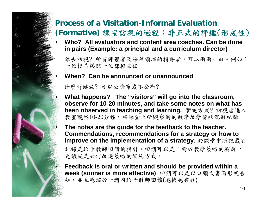#### **Process of a Visitation-Informal Evaluation (Formative)** 課室訪視的過程:非正式的評鑑(形成性)

• **Who? All evaluators and content area coaches. Can be done in pairs (Example: a principal and a curriculum director)** 

誰去訪視? 所有評鑑者及課程領域的指導者,可以兩兩一組。例如: ㄧ位校長搭配ㄧ位課程主任

#### • **When? Can be announced or unannounced**

什麼時候做? 可以公告布或不公布?

• **What happens? The "visitors" will go into the classroom, observe for 10-20 minutes, and take some notes on what has been observed in teaching and learning.** 實施方式? 訪視者進入 教室觀察10-20分鐘,將課堂上所觀察到的教學及學習狀況做紀錄

• **The notes are the guide for the feedback to the teacher. Commendations, recommendations for a strategy or how to improve on the implementation of a strategy.** 於課堂中所記載的

紀錄是給予教師回饋的指引。回饋可以是:對於教學策略的稱許、 建議或是如何改進策略的實施方式。

• **Feedback is oral or written and should be provided within a week (sooner is more effective)** 回饋可以是以口頭或書面形式告 知,並且應該於一週內給予教師回饋(越快越有效)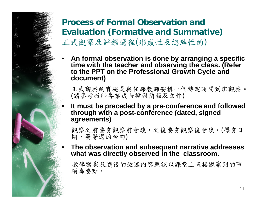**Process of Formal Observation and Evaluation (Formative and Summative)**  正式觀察及評鑑過程(形成性及總結性的)

• **An formal observation is done by arranging a specific time with the teacher and observing the class. (Refer to the PPT on the Professional Growth Cycle and document)** 

正式觀察的實施是與任課教師安排一個特定時間到班觀察。 (請參考教師專業成長循環簡報及文件 )

• **It must be preceded by a pre-conference and followed through with a post-conference (dated, signed agreements)**

觀察之前要有觀察前會談,之後要有觀察後會談。 (標有日 期、簽署過的合約)

• **The observation and subsequent narrative addresses what was directly observed in the classroom.**

教學觀察及隨後的敘述內容應該以課堂上直接觀察到的事 項為要點。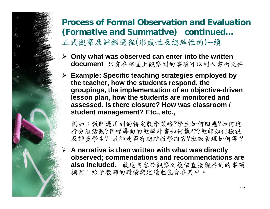#### **Process of Formal Observation and Evaluation (Formative and Summative) continued…**  正式觀察及評鑑過程(形成性及總結性的)--續

- ¾ **Only what was observed can enter into the written document** 只有在課堂上觀察到的事項可以列入書面文件
- ¾ **Example: Specific teaching strategies employed by the teacher, how the students respond, the groupings, the implementation of an objective-driven lesson plan, how the students are monitored and assessed. Is there closure? How was classroom / student management? Etc., etc.,**

例如:教師運用到的特定教學策略?學生如何回應?如何進 行分組活動?目標導向的教學計畫如何執行?教師如何檢視 及評量學生? 教師是否有總結教學內容?班級管理如何等?

¾ **A narrative is then written with what was directly observed; commendations and recommendations are also included.** 敘述內容於觀察之後依直接觀察到的事項 撰寫;給予教師的讚揚與建議也包含在其中。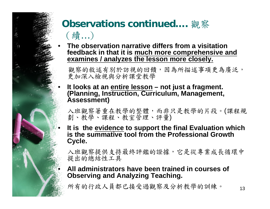### **Observations continued….** 觀察

# (續 … )

• **The observation narrative differs from a visitation feedback in that it is much more comprehensive and examines / analyzes the lesson more closely.** 

觀察的敘述有別於訪視的回饋,因為所描述事項更為廣泛, 更加深入檢視與分析課堂教學

• **It looks at an entire lesson – not just a fragment. (Planning, Instruction, Curriculum, Management, Assessment)**

入班觀察著重在教學的整體,而非只是教學的片段。 (課程規 劃、教學、課程、教室管理、評量)

• **It is the evidence to support the final Evaluation which is the summative tool from the Professional Growth Cycle.**

入班觀察提供支持最終評鑑的證據,它是從專業成長循環中 提出的總結性工具

#### • **All administrators have been trained in courses of Observing and Analyzing Teaching.**

所有的行政人員都已接受過觀察及分析教學的訓練。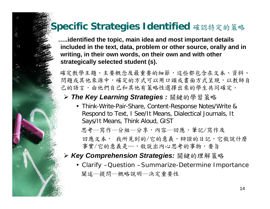### **Specific Strategies Identified** 確認特定的策略

**…..identified the topic, main idea and most important details included in the text, data, problem or other source, orally and in writing, in their own words, on their own and with other strategically selected student (s).**

確定教學主題、主要概念及最重要的細節,這些都包含在文本、資料、 問題或其他來源中,確定的方式可以用口頭或書面方式呈現,以教師自 己的語言,由他們自己和其他有策略性選擇出來的學生共同確定。

#### ¾ *The Key Learning Strategies :* 關鍵的學習策略

• Think-Write-Pair-Share, Content-Response Notes/Write & Respond to Text, I See/It Means, Dialectical Journals, It Says/It Means, Think Aloud, GIST

思考—寫作—分組—分享,內容—回應,筆記/寫作及

回應文本, 我所見到的/它的意義,辩證的日記,它敘說什麼 事實/它的意義是…,敘說出內心思考的事物,要旨

#### ¾ *Key Comprehension Strategies:* 關鍵的理解策略

• Clarify –Question –Summarize-Determine Importance 闡述─提問─概略說明─決定重要性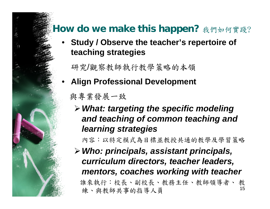## **How do we make this happen?** 我們如何實踐?

• **Study / Observe the teacher's repertoire of teaching strategies**

研究 /觀察教師執行教學策略的本領

• **Align Professional Development** 

與專業發展一致

¾*What: targeting the specific modeling and teaching of common teaching and learning strategies*

內容:以特定模式為目標並教授共通的教學及學習策略

15¾*Who: principals, assistant principals, curriculum directors, teacher leaders, mentors, coaches working with teacher* 誰來執行:校長、副校長、教務主任、教師領導者、 教 練、與教師共事的指導人員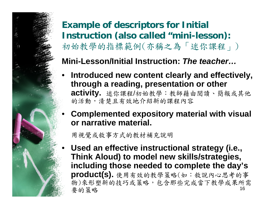**Example of descriptors for Initial Instruction (also called "mini-lesson):**  初始教學的指標範例(亦稱之為「迷你課程」)

### **Mini-Lesson/Initial Instruction:** *The teacher…*

- **Introduced new content clearly and effectively, through a reading, presentation or other activity.** 迷你課程 /初始教學:教師藉由閱讀、簡報或其他 的活動,清楚且有效地介紹新的課程內容
- **Complemented expository material with visual or narrative material.**

用視覺或敘事方式的教材補充說明

16• **Used an effective instructional strategy (i.e., Think Aloud) to model new skills/strategies, including those needed to complete the day's product(s).** 使用有效的教學策略(如:敘說內心思考的事 物)來形塑新的技巧或策略,包含那些完成當下教學成果所需 要的策略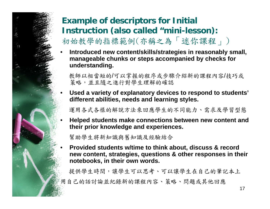### **Example of descriptors for Initial Instruction (also called "mini-lesson):**  初始教學的指標範例(亦稱之為「迷你課程」)

• **Introduced new content/skills/strategies in reasonably small, manageable chunks or steps accompanied by checks for understanding.** 

教師以相當短的/可以掌握的程序或步驟介紹新的課程內容/技巧或 策略,並且隨之進行對學生理解的確認

• **Used a variety of explanatory devices to respond to students' different abilities, needs and learning styles.** 

運用各式各樣的解說方法來回應學生的不同能力、需求及學習型態

• **Helped students make connections between new content and their prior knowledge and experiences.**

幫助學生將新知識與舊知識及經驗結合

• **Provided students w/time to think about, discuss & record new content, strategies, questions & other responses in their notebooks, in their own words.**

提供學生時間,讓學生可以思考、可以讓學生在自己的筆記本上 用自己的話討論並紀錄新的課程內容、策略、問題或其他回應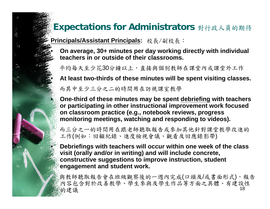#### **Expectations for Administrators** 對行政人員的期待

**Principals/Assistant Principals:**  校長/副校長:

• **On average, 30+ minutes per day working directly with individual teachers in or outside of their classrooms.** 

平均每天至少花30分鐘以上,直接與個別教師在課堂內或課堂外工作

• **At least two-thirds of these minutes will be spent visiting classes.**

而其中至少三分之二的時間用在訪視課室教學

• **One-third of these minutes may be spent debriefing with teachers or participating in other instructional improvement work focused on classroom practice (e.g., notebook reviews, progress monitoring meetings, watching and responding to videos).**

而三分之一的時間用在跟老師聽取報告或參加其他針對課堂教學改進的 工作(例如:回顧紀錄、進度檢視會議、觀看及回應錄影帶)

• **Debriefings with teachers will occur within one week of the class visit (orally and/or in writing) and will include concrete, constructive suggestions to improve instruction, student engagement and student work.** 

18與教師聽取報告會在班級觀察後的一週內完成(口頭及/或書面形式),報告 內容包含對於改善教學、學生參與及學生作品等方面之具體、有建設性 的建議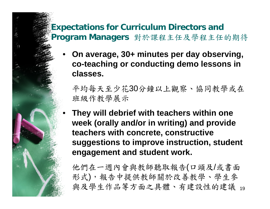#### **Expectations for Curriculum Directors and Program Managers** 對於課程主任及學程主任的期待

• **On average, 30+ minutes per day observing, co-teaching or conducting demo lessons in classes.** 

平均每天至少花30分鐘以上觀察、協同教學或在 班級作教學展示

• **They will debrief with teachers within one week (orally and/or in writing) and provide teachers with concrete, constructive suggestions to improve instruction, student engagement and student work.** 

與及學生作品等方面之具體、有建設性的建議 19 他們在一週內會與教師聽取報告 (口頭及 /或書面 形式 ),報告中提供教師關於改善教學、學生參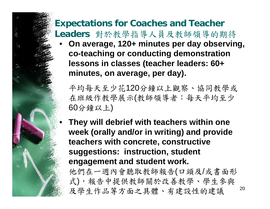### **Expectations for Coaches and Teacher Leaders** 對於教學指導人員及教師領導的期待

• **On average, 120+ minutes per day observing, co-teaching or conducting demonstration lessons in classes (teacher leaders: 60+ minutes, on average, per day).** 

平均每天至少花120分鐘以上觀察、協同教學或 在班級作教學展示 (教師領導者:每天平均至少 60分鐘以上 )

• **They will debrief with teachers within one week (orally and/or in writing) and provide teachers with concrete, constructive suggestions: instruction, student engagement and student work.** 

他們在一週內會聽取教師報告(口頭及/或書面形 式 ),報告中提供教師關於改善教學、學生參與 及學生作品等方面之具體、有建設性的建議

20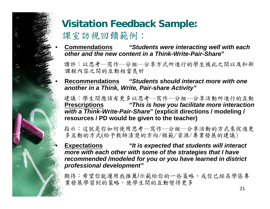## **Visitation Feedback Sample:**  課室訪視回饋範例 :

• **Commendations** *"Students were interacting well with each other and the new content in a Think-Write-Pair-Share***"**

讚許:以思考—寫作—分組—分享方式所進行的學生彼此之間以及和新 課程內容之間的互動相當良好

• **Recommendations** *"Students should interact more with one another in a Think, Write, Pair-share Activity"*

建議:學生間應該有更多以思考─寫作─分組─分享活動所進行的互動 **Prescriptions** *"This is how you facilitate more interaction with a Think-Write-Pair-Share***" (explicit directions / modeling / resources / PD would be given to the teacher)**

指示:這就是你如何使用思考─寫作─分組─分享活動的方式來促進更 多互動的方式 (給予教師清楚的方向/模範/資源/專業發展的建議)

• **Expectations** *"It is expected that students will interact more with each other with some of the strategies that I have recommended /modeled for you or you have learned in district professional development"*

期待:希望你能運用我推薦/示範給你的一些策略、或你已經在學區專 業發展學習到的策略,使學生間的互動變得更多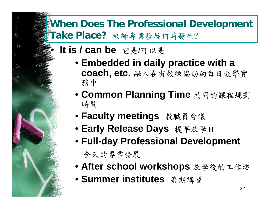# **When Does The Professional Development Take Place?** 教師專業發展何時發生?

# **• It is / can be** 它是/可以是

- **Embedded in daily practice with a coach, etc.** 融入在有教練協助的每日教學實 務中
- **Common Planning Time** 共同的課程規劃 時間
- **Faculty meetings** 教職員會議
- **Early Release Days** 提早放學日
- **Full-day Professional Development** 
	- 全天的專業發展
- **After school workshops** 放學後的工作坊
- **Summer institutes** 暑期講習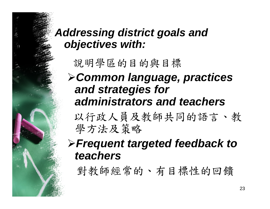# *Addressing district goals and objectives with:*

說明學區的目的與目標

¾*Common language, practices and strategies for administrators and teachers* 

以行政人員及教師共同的語言、教 學方法及策略

¾*Frequent targeted feedback to teachers*

對教師經常的、有目標性的回饋